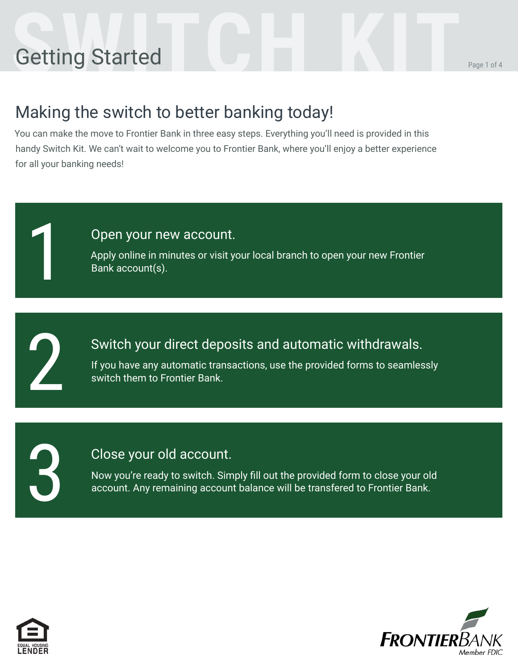# **Setting Started COLLEGATION**

### Making the switch to better banking today!

You can make the move to Frontier Bank in three easy steps. Everything you'll need is provided in this handy Switch Kit. We can't wait to welcome you to Frontier Bank, where you'll enjoy a better experience for all your banking needs!

#### Open your new account.

Apply online in minutes or visit your local branch to open your new Frontier Bank account(s).

2

3

1

#### Switch your direct deposits and automatic withdrawals.

If you have any automatic transactions, use the provided forms to seamlessly switch them to Frontier Bank.

#### Close your old account.

Now you're ready to switch. Simply fill out the provided form to close your old account. Any remaining account balance will be transfered to Frontier Bank.



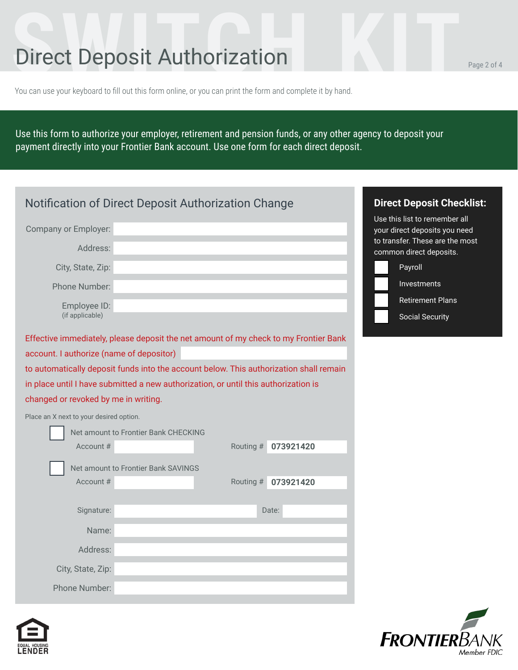## **Direct Deposit Authorization**

You can use your keyboard to fill out this form online, or you can print the form and complete it by hand.

Use this form to authorize your employer, retirement and pension funds, or any other agency to deposit your payment directly into your Frontier Bank account. Use one form for each direct deposit.

|                                          | <b>Notification of Direct Deposit Authorization Change</b>                             |           | <b>Direct Deposit Checklist:</b> |
|------------------------------------------|----------------------------------------------------------------------------------------|-----------|----------------------------------|
|                                          |                                                                                        |           | Use this list to remember all    |
| Company or Employer:                     |                                                                                        |           | your direct deposits you need    |
| Address:                                 |                                                                                        |           | to transfer. These are the most  |
|                                          |                                                                                        |           | common direct deposits.          |
| City, State, Zip:                        |                                                                                        |           | Payroll                          |
| Phone Number:                            |                                                                                        |           | Investments                      |
| Employee ID:                             |                                                                                        |           | Retirement Plans                 |
| (if applicable)                          |                                                                                        |           | <b>Social Security</b>           |
|                                          |                                                                                        |           |                                  |
|                                          | Effective immediately, please deposit the net amount of my check to my Frontier Bank   |           |                                  |
| account. I authorize (name of depositor) |                                                                                        |           |                                  |
|                                          | to automatically deposit funds into the account below. This authorization shall remain |           |                                  |
|                                          | in place until I have submitted a new authorization, or until this authorization is    |           |                                  |
| changed or revoked by me in writing.     |                                                                                        |           |                                  |
| Place an X next to your desired option.  |                                                                                        |           |                                  |
|                                          | Net amount to Frontier Bank CHECKING                                                   |           |                                  |
| Account #                                | Routing #                                                                              | 073921420 |                                  |
|                                          |                                                                                        |           |                                  |
| Account #                                | Net amount to Frontier Bank SAVINGS                                                    |           |                                  |
|                                          | Routing #                                                                              | 073921420 |                                  |
| Signature:                               |                                                                                        | Date:     |                                  |
|                                          |                                                                                        |           |                                  |
| Name:                                    |                                                                                        |           |                                  |
| Address:                                 |                                                                                        |           |                                  |
| City, State, Zip:                        |                                                                                        |           |                                  |
|                                          |                                                                                        |           |                                  |
| Phone Number:                            |                                                                                        |           |                                  |





Member FDIC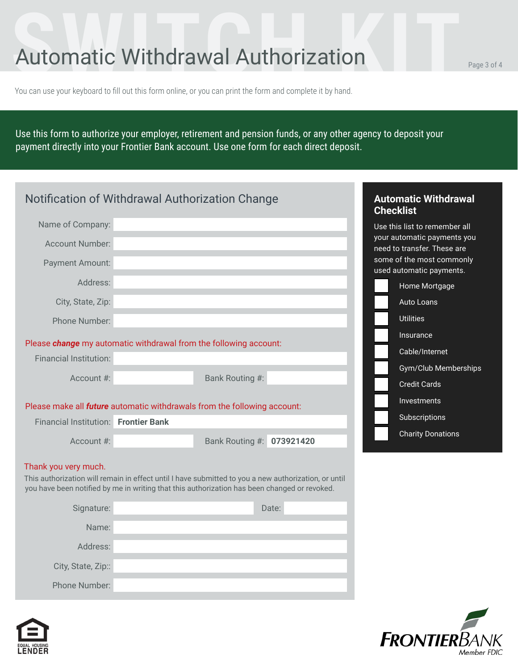## Automatic Withdrawal Authorization Page 3 of 4

You can use your keyboard to fill out this form online, or you can print the form and complete it by hand.

Use this form to authorize your employer, retirement and pension funds, or any other agency to deposit your payment directly into your Frontier Bank account. Use one form for each direct deposit.

|                                                                                                                                                                                                                              | Notification of Withdrawal Authorization Change                                 |                           |       | <b>Checklist</b> | <b>Automatic Withdrawal</b>                                |  |  |
|------------------------------------------------------------------------------------------------------------------------------------------------------------------------------------------------------------------------------|---------------------------------------------------------------------------------|---------------------------|-------|------------------|------------------------------------------------------------|--|--|
| Name of Company:                                                                                                                                                                                                             |                                                                                 |                           |       |                  | Use this list to remember all                              |  |  |
| <b>Account Number:</b>                                                                                                                                                                                                       |                                                                                 |                           |       |                  | your automatic payments you<br>need to transfer. These are |  |  |
| Payment Amount:                                                                                                                                                                                                              |                                                                                 |                           |       |                  | some of the most commonly<br>used automatic payments.      |  |  |
| Address:                                                                                                                                                                                                                     |                                                                                 |                           |       |                  | Home Mortgage                                              |  |  |
| City, State, Zip:                                                                                                                                                                                                            |                                                                                 |                           |       |                  | Auto Loans                                                 |  |  |
| Phone Number:                                                                                                                                                                                                                |                                                                                 |                           |       |                  | <b>Utilities</b>                                           |  |  |
|                                                                                                                                                                                                                              | Please change my automatic withdrawal from the following account:               |                           |       |                  | Insurance                                                  |  |  |
| <b>Financial Institution:</b>                                                                                                                                                                                                |                                                                                 |                           |       |                  | Cable/Internet                                             |  |  |
|                                                                                                                                                                                                                              |                                                                                 |                           |       |                  | Gym/Club Memberships                                       |  |  |
| Account #:                                                                                                                                                                                                                   |                                                                                 | Bank Routing #:           |       |                  | <b>Credit Cards</b>                                        |  |  |
|                                                                                                                                                                                                                              | Please make all <i>future</i> automatic withdrawals from the following account: |                           |       |                  | <b>Investments</b>                                         |  |  |
| Financial Institution: Frontier Bank                                                                                                                                                                                         |                                                                                 |                           |       |                  | Subscriptions                                              |  |  |
|                                                                                                                                                                                                                              |                                                                                 |                           |       |                  | <b>Charity Donations</b>                                   |  |  |
| Account #:                                                                                                                                                                                                                   |                                                                                 | Bank Routing #: 073921420 |       |                  |                                                            |  |  |
| Thank you very much.<br>This authorization will remain in effect until I have submitted to you a new authorization, or until<br>you have been notified by me in writing that this authorization has been changed or revoked. |                                                                                 |                           |       |                  |                                                            |  |  |
| Signature:                                                                                                                                                                                                                   |                                                                                 |                           | Date: |                  |                                                            |  |  |
| Name:                                                                                                                                                                                                                        |                                                                                 |                           |       |                  |                                                            |  |  |
| Address:                                                                                                                                                                                                                     |                                                                                 |                           |       |                  |                                                            |  |  |
| City, State, Zip::                                                                                                                                                                                                           |                                                                                 |                           |       |                  |                                                            |  |  |
| Phone Number:                                                                                                                                                                                                                |                                                                                 |                           |       |                  |                                                            |  |  |